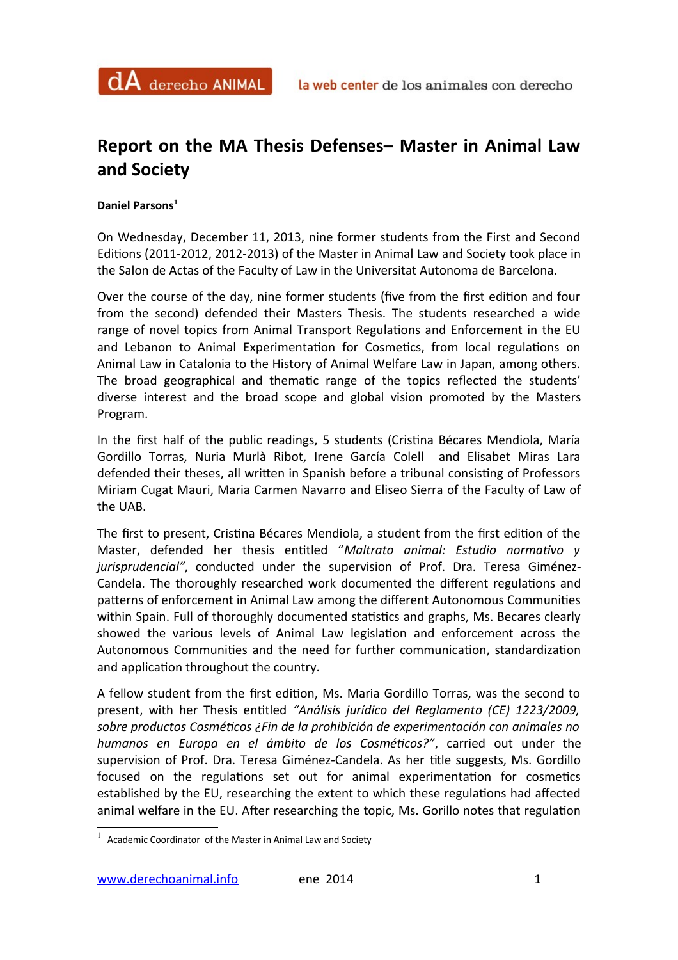## **Report on the MA Thesis Defenses– Master in Animal Law and Society**

**Daniel Parsons[1](#page-0-0)**

On Wednesday, December 11, 2013, nine former students from the First and Second Editons (2011-2012, 2012-2013) of the Master in Animal Law and Society took place in the Salon de Actas of the Faculty of Law in the Universitat Autonoma de Barcelona.

Over the course of the day, nine former students (fve from the frst editon and four from the second) defended their Masters Thesis. The students researched a wide range of novel topics from Animal Transport Regulations and Enforcement in the EU and Lebanon to Animal Experimentation for Cosmetics, from local regulations on Animal Law in Catalonia to the History of Animal Welfare Law in Japan, among others. The broad geographical and thematc range of the topics refected the students' diverse interest and the broad scope and global vision promoted by the Masters Program.

In the first half of the public readings, 5 students (Cristina Bécares Mendiola, María Gordillo Torras, Nuria Murlà Ribot, Irene García Colell and Elisabet Miras Lara defended their theses, all written in Spanish before a tribunal consisting of Professors Miriam Cugat Mauri, Maria Carmen Navarro and Eliseo Sierra of the Faculty of Law of the UAB.

The frst to present, Cristna Bécares Mendiola, a student from the frst editon of the Master, defended her thesis enttled "*Maltrato animal: Estudio normatvo y jurisprudencial"*, conducted under the supervision of Prof. Dra. Teresa Giménez-Candela. The thoroughly researched work documented the different regulations and paterns of enforcement in Animal Law among the diferent Autonomous Communites within Spain. Full of thoroughly documented statistics and graphs, Ms. Becares clearly showed the various levels of Animal Law legislaton and enforcement across the Autonomous Communities and the need for further communication, standardization and application throughout the country.

A fellow student from the frst editon, Ms. Maria Gordillo Torras, was the second to present, with her Thesis enttled *"Análisis jurídico del Reglamento (CE) 1223/2009, sobre productos Cosmétcos ¿Fin de la prohibición de experimentación con animales no humanos en Europa en el ámbito de los Cosmétcos?"*, carried out under the supervision of Prof. Dra. Teresa Giménez-Candela. As her title suggests, Ms. Gordillo focused on the regulations set out for animal experimentation for cosmetics established by the EU, researching the extent to which these regulations had affected animal welfare in the EU. After researching the topic, Ms. Gorillo notes that regulation

<span id="page-0-0"></span> $1$  Academic Coordinator of the Master in Animal Law and Society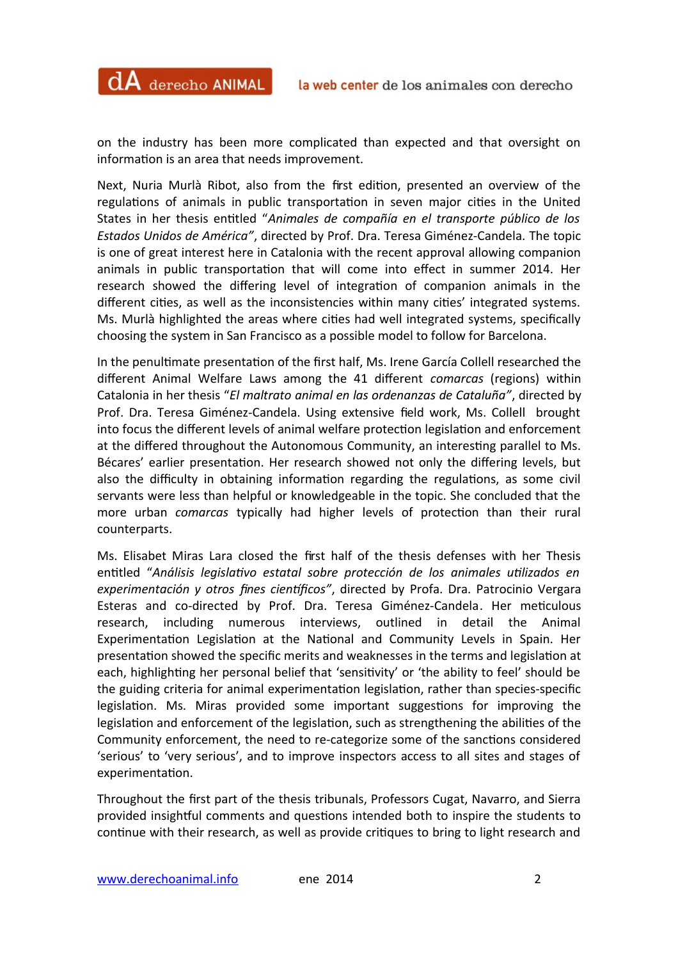on the industry has been more complicated than expected and that oversight on information is an area that needs improvement.

 $dA$  derecho ANIMAL

Next, Nuria Murlà Ribot, also from the first edition, presented an overview of the regulations of animals in public transportation in seven major cities in the United States in her thesis enttled "*Animales de compañía en el transporte público de los Estados Unidos de América"*, directed by Prof. Dra. Teresa Giménez-Candela. The topic is one of great interest here in Catalonia with the recent approval allowing companion animals in public transportaton that will come into efect in summer 2014. Her research showed the differing level of integration of companion animals in the different cities, as well as the inconsistencies within many cities' integrated systems. Ms. Murlà highlighted the areas where cites had well integrated systems, specifcally choosing the system in San Francisco as a possible model to follow for Barcelona.

In the penultmate presentaton of the frst half, Ms. Irene García Collell researched the diferent Animal Welfare Laws among the 41 diferent *comarcas* (regions) within Catalonia in her thesis "*El maltrato animal en las ordenanzas de Cataluña"*, directed by Prof. Dra. Teresa Giménez-Candela. Using extensive feld work, Ms. Collell brought into focus the different levels of animal welfare protection legislation and enforcement at the difered throughout the Autonomous Community, an interestng parallel to Ms. Bécares' earlier presentaton. Her research showed not only the difering levels, but also the difficulty in obtaining information regarding the regulations, as some civil servants were less than helpful or knowledgeable in the topic. She concluded that the more urban *comarcas* typically had higher levels of protecton than their rural counterparts.

Ms. Elisabet Miras Lara closed the frst half of the thesis defenses with her Thesis enttled "*Análisis legislatvo estatal sobre protección de los animales utlizados en* experimentación y otros fines científicos", directed by Profa. Dra. Patrocinio Vergara Esteras and co-directed by Prof. Dra. Teresa Giménez-Candela. Her metculous research, including numerous interviews, outlined in detail the Animal Experimentation Legislation at the National and Community Levels in Spain. Her presentaton showed the specifc merits and weaknesses in the terms and legislaton at each, highlighting her personal belief that 'sensitivity' or 'the ability to feel' should be the guiding criteria for animal experimentation legislation, rather than species-specific legislation. Ms. Miras provided some important suggestions for improving the legislation and enforcement of the legislation, such as strengthening the abilities of the Community enforcement, the need to re-categorize some of the sanctions considered 'serious' to 'very serious', and to improve inspectors access to all sites and stages of experimentation.

Throughout the frst part of the thesis tribunals, Professors Cugat, Navarro, and Sierra provided insightful comments and questions intended both to inspire the students to continue with their research, as well as provide critiques to bring to light research and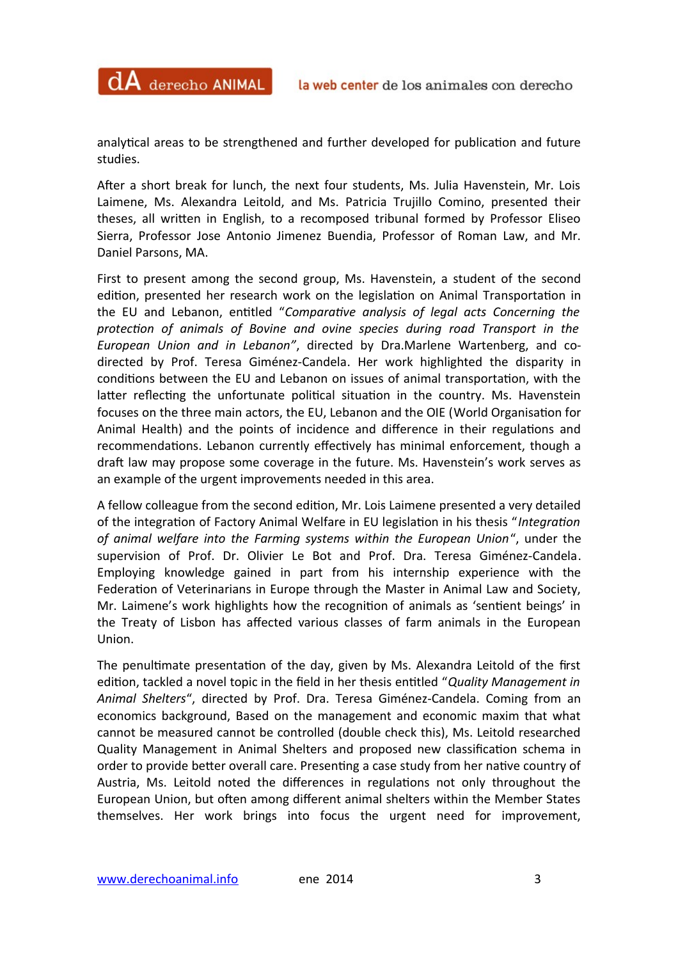analytical areas to be strengthened and further developed for publication and future studies.

 $dA$  derecho ANIMAL

Afer a short break for lunch, the next four students, Ms. Julia Havenstein, Mr. Lois Laimene, Ms. Alexandra Leitold, and Ms. Patricia Trujillo Comino, presented their theses, all writen in English, to a recomposed tribunal formed by Professor Eliseo Sierra, Professor Jose Antonio Jimenez Buendia, Professor of Roman Law, and Mr. Daniel Parsons, MA.

First to present among the second group, Ms. Havenstein, a student of the second editon, presented her research work on the legislaton on Animal Transportaton in the EU and Lebanon, enttled "*Comparatve analysis of legal acts Concerning the protecton of animals of Bovine and ovine species during road Transport in the European Union and in Lebanon"*, directed by Dra.Marlene Wartenberg, and codirected by Prof. Teresa Giménez-Candela. Her work highlighted the disparity in conditions between the EU and Lebanon on issues of animal transportation, with the latter reflecting the unfortunate political situation in the country. Ms. Havenstein focuses on the three main actors, the EU, Lebanon and the OIE (World Organisaton for Animal Health) and the points of incidence and difference in their regulations and recommendations. Lebanon currently effectively has minimal enforcement, though a draft law may propose some coverage in the future. Ms. Havenstein's work serves as an example of the urgent improvements needed in this area.

A fellow colleague from the second editon, Mr. Lois Laimene presented a very detailed of the integration of Factory Animal Welfare in EU legislation in his thesis "Integration *of animal welfare into the Farming systems within the European Union*", under the supervision of Prof. Dr. Olivier Le Bot and Prof. Dra. Teresa Giménez-Candela. Employing knowledge gained in part from his internship experience with the Federation of Veterinarians in Europe through the Master in Animal Law and Society, Mr. Laimene's work highlights how the recogniton of animals as 'sentent beings' in the Treaty of Lisbon has afected various classes of farm animals in the European Union.

The penultimate presentation of the day, given by Ms. Alexandra Leitold of the first editon, tackled a novel topic in the feld in her thesis enttled "*Quality Management in Animal Shelters*", directed by Prof. Dra. Teresa Giménez-Candela. Coming from an economics background, Based on the management and economic maxim that what cannot be measured cannot be controlled (double check this), Ms. Leitold researched Quality Management in Animal Shelters and proposed new classifcaton schema in order to provide better overall care. Presenting a case study from her native country of Austria, Ms. Leitold noted the diferences in regulatons not only throughout the European Union, but ofen among diferent animal shelters within the Member States themselves. Her work brings into focus the urgent need for improvement,